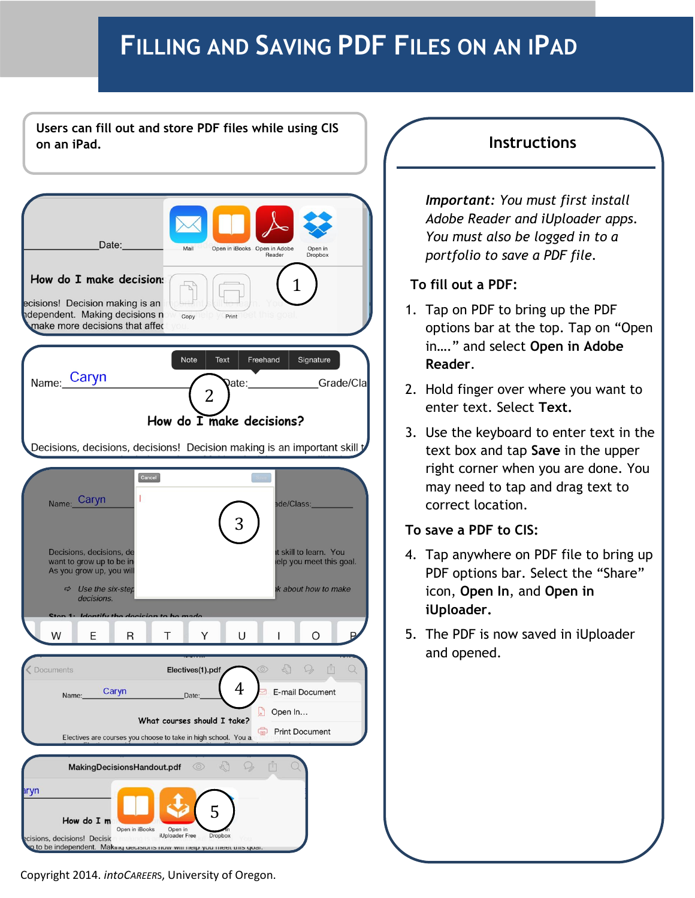## **FILLING AND SAVING PDF FILES ON AN IPAD**

**Users can fill out and store PDF files while using CIS on an iPad. Instructions**



*Important: You must first install Adobe Reader and iUploader apps. You must also be logged in to a portfolio to save a PDF file.*

### **To fill out a PDF:**

- 1. Tap on PDF to bring up the PDF options bar at the top. Tap on "Open in…." and select **Open in Adobe Reader**.
- 2. Hold finger over where you want to enter text. Select **Text.**
- 3. Use the keyboard to enter text in the text box and tap **Save** in the upper right corner when you are done. You may need to tap and drag text to correct location.

## **To save a PDF to CIS:**

- 4. Tap anywhere on PDF file to bring up PDF options bar. Select the "Share" icon, **Open In**, and **Open in iUploader.**
- 5. The PDF is now saved in iUploader and opened.

Copyright 2014. *intoCAREER*S, University of Oregon.